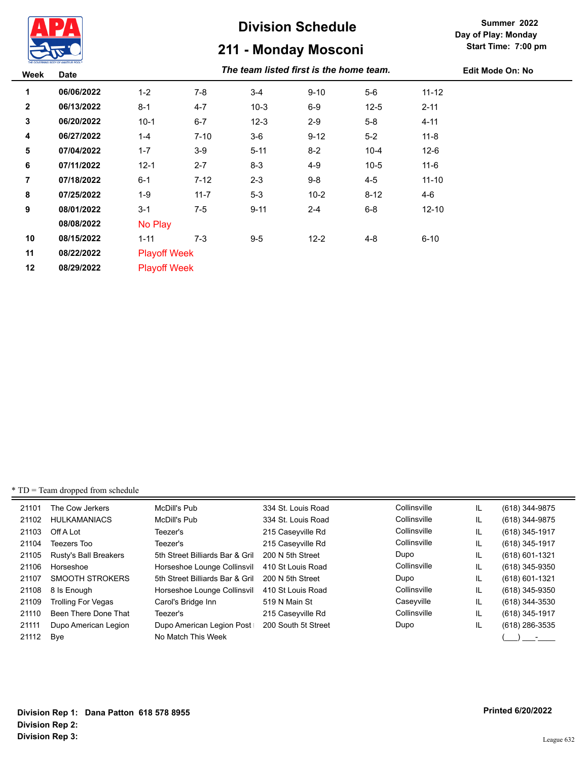

# **211 - Monday Mosconi**

**Summer 2022 Day of Play: Monday Start Time: 7:00 pm**

| The team listed first is the home team.<br>Edit Mode<br>↑On: No<br>Week<br>Date |
|---------------------------------------------------------------------------------|
|---------------------------------------------------------------------------------|

| 1              | 06/06/2022 | $1 - 2$             | 7-8      | $3 - 4$  | $9 - 10$ | $5-6$    | $11 - 12$ |  |
|----------------|------------|---------------------|----------|----------|----------|----------|-----------|--|
| $\overline{2}$ | 06/13/2022 | $8 - 1$             | $4 - 7$  | $10-3$   | $6-9$    | $12 - 5$ | $2 - 11$  |  |
| 3              | 06/20/2022 | $10-1$              | $6 - 7$  | $12-3$   | $2 - 9$  | $5 - 8$  | $4 - 11$  |  |
| 4              | 06/27/2022 | $1 - 4$             | $7 - 10$ | $3-6$    | $9 - 12$ | $5 - 2$  | $11 - 8$  |  |
| $\sqrt{5}$     | 07/04/2022 | $1 - 7$             | $3-9$    | $5 - 11$ | $8 - 2$  | $10 - 4$ | $12-6$    |  |
| 6              | 07/11/2022 | $12 - 1$            | $2 - 7$  | $8 - 3$  | $4 - 9$  | $10-5$   | $11-6$    |  |
| $\overline{7}$ | 07/18/2022 | $6 - 1$             | $7 - 12$ | $2 - 3$  | $9-8$    | $4 - 5$  | $11 - 10$ |  |
| 8              | 07/25/2022 | $1 - 9$             | $11 - 7$ | $5-3$    | $10-2$   | $8 - 12$ | 4-6       |  |
| 9              | 08/01/2022 | $3 - 1$             | $7-5$    | $9 - 11$ | $2 - 4$  | $6 - 8$  | $12 - 10$ |  |
|                | 08/08/2022 | No Play             |          |          |          |          |           |  |
| 10             | 08/15/2022 | $1 - 11$            | $7-3$    | $9 - 5$  | $12 - 2$ | $4 - 8$  | $6 - 10$  |  |
| 11             | 08/22/2022 | <b>Playoff Week</b> |          |          |          |          |           |  |
| 12             | 08/29/2022 | <b>Playoff Week</b> |          |          |          |          |           |  |

| 21101 | The Cow Jerkers       | McDill's Pub                    | 334 St. Louis Road  | Collinsville | IL  | (618) 344-9875 |
|-------|-----------------------|---------------------------------|---------------------|--------------|-----|----------------|
| 21102 | <b>HULKAMANIACS</b>   | McDill's Pub                    | 334 St. Louis Road  | Collinsville | IL. | (618) 344-9875 |
| 21103 | Off A Lot             | Teezer's                        | 215 Caseyville Rd   | Collinsville | IL. | (618) 345-1917 |
| 21104 | Teezers Too           | Teezer's                        | 215 Caseyville Rd   | Collinsville | IL. | (618) 345-1917 |
| 21105 | Rusty's Ball Breakers | 5th Street Billiards Bar & Gril | 200 N 5th Street    | Dupo         | IL. | (618) 601-1321 |
| 21106 | Horseshoe             | Horseshoe Lounge Collinsvil     | 410 St Louis Road   | Collinsville | IL. | (618) 345-9350 |
| 21107 | SMOOTH STROKERS       | 5th Street Billiards Bar & Gril | 200 N 5th Street    | Dupo         | IL  | (618) 601-1321 |
| 21108 | 8 Is Enough           | Horseshoe Lounge Collinsvil     | 410 St Louis Road   | Collinsville | IL. | (618) 345-9350 |
| 21109 | Trolling For Vegas    | Carol's Bridge Inn              | 519 N Main St       | Caseyville   | IL  | (618) 344-3530 |
| 21110 | Been There Done That  | Teezer's                        | 215 Caseyville Rd   | Collinsville | IL  | (618) 345-1917 |
| 21111 | Dupo American Legion  | Dupo American Legion Post       | 200 South 5t Street | Dupo         | IL. | (618) 286-3535 |
| 21112 | <b>B</b> ve           | No Match This Week              |                     |              |     |                |
|       |                       |                                 |                     |              |     |                |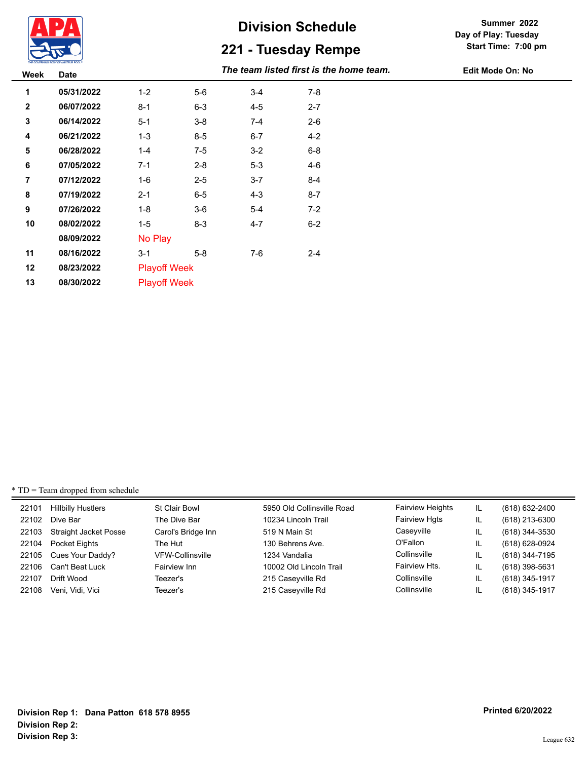

# **221 - Tuesday Rempe**

**Summer 2022 Day of Play: Tuesday Start Time: 7:00 pm**

*The team listed first is the home team.* **Week Date Edit Mode On: No**

| 05/31/2022 | $1 - 2$ | $5-6$   | $3-4$                                      | $7-8$   |
|------------|---------|---------|--------------------------------------------|---------|
| 06/07/2022 | $8 - 1$ | $6-3$   | $4 - 5$                                    | $2 - 7$ |
| 06/14/2022 | $5 - 1$ | $3-8$   | $7-4$                                      | $2 - 6$ |
| 06/21/2022 | $1 - 3$ | $8-5$   | $6-7$                                      | $4 - 2$ |
| 06/28/2022 | $1 - 4$ | $7-5$   | $3-2$                                      | $6-8$   |
| 07/05/2022 | $7 - 1$ | $2 - 8$ | $5 - 3$                                    | $4 - 6$ |
| 07/12/2022 | $1-6$   | $2 - 5$ | $3 - 7$                                    | $8 - 4$ |
| 07/19/2022 | $2 - 1$ | $6-5$   | $4 - 3$                                    | $8 - 7$ |
| 07/26/2022 | $1-8$   | $3-6$   | $5 - 4$                                    | $7-2$   |
| 08/02/2022 | $1-5$   | $8-3$   | 4-7                                        | $6-2$   |
| 08/09/2022 | No Play |         |                                            |         |
| 08/16/2022 | $3 - 1$ | $5-8$   | 7-6                                        | $2 - 4$ |
| 08/23/2022 |         |         |                                            |         |
| 08/30/2022 |         |         |                                            |         |
|            |         |         | <b>Playoff Week</b><br><b>Playoff Week</b> |         |

| 22101 | <b>Hillbilly Hustlers</b>   | St Clair Bowl           | 5950 Old Collinsville Road | <b>Fairview Heights</b> | IL | (618) 632-2400 |
|-------|-----------------------------|-------------------------|----------------------------|-------------------------|----|----------------|
| 22102 | Dive Bar                    | The Dive Bar            | 10234 Lincoln Trail        | <b>Fairview Hgts</b>    | IL | (618) 213-6300 |
|       | 22103 Straight Jacket Posse | Carol's Bridge Inn      | 519 N Main St              | Caseyville              | IL | (618) 344-3530 |
| 22104 | Pocket Eights               | The Hut                 | 130 Behrens Ave.           | O'Fallon                | IL | (618) 628-0924 |
|       | 22105 Cues Your Daddy?      | <b>VFW-Collinsville</b> | 1234 Vandalia              | Collinsville            | IL | (618) 344-7195 |
| 22106 | Can't Beat Luck             | Fairview Inn            | 10002 Old Lincoln Trail    | Fairview Hts.           | IL | (618) 398-5631 |
| 22107 | Drift Wood                  | Teezer's                | 215 Caseyville Rd          | Collinsville            | IL | (618) 345-1917 |
| 22108 | Veni, Vidi, Vici            | Teezer's                | 215 Caseyville Rd          | Collinsville            | IL | (618) 345-1917 |
|       |                             |                         |                            |                         |    |                |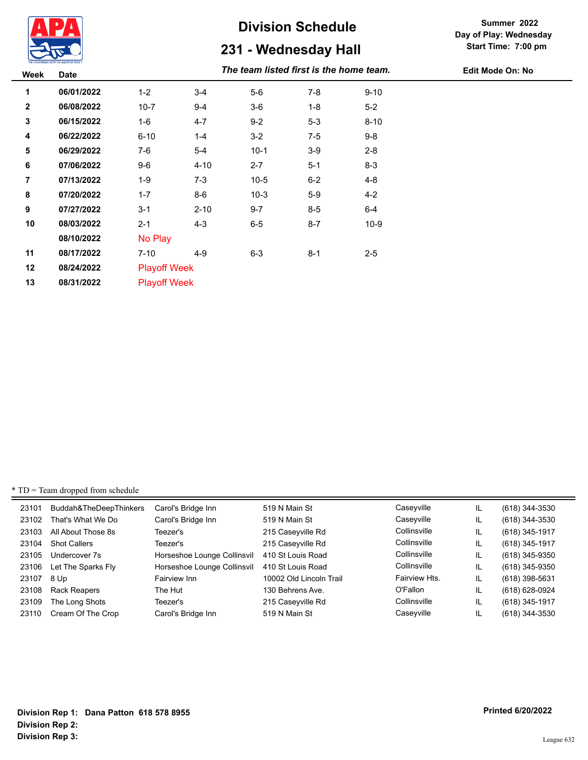

# **231 - Wednesday Hall**

**Summer 2022 Day of Play: Wednesday Start Time: 7:00 pm**

| Week           | <b>Date</b> |                     | The team listed first is the home team. | <b>Edit Mode On: No</b> |         |          |  |
|----------------|-------------|---------------------|-----------------------------------------|-------------------------|---------|----------|--|
| 1              | 06/01/2022  | $1 - 2$             | $3 - 4$                                 | $5-6$                   | $7 - 8$ | $9 - 10$ |  |
| $\overline{2}$ | 06/08/2022  | $10 - 7$            | $9 - 4$                                 | $3-6$                   | $1 - 8$ | $5-2$    |  |
| 3              | 06/15/2022  | $1 - 6$             | $4 - 7$                                 | $9 - 2$                 | $5-3$   | $8 - 10$ |  |
| 4              | 06/22/2022  | $6 - 10$            | $1 - 4$                                 | $3 - 2$                 | $7-5$   | $9-8$    |  |
| 5              | 06/29/2022  | 7-6                 | $5 - 4$                                 | $10-1$                  | $3-9$   | $2 - 8$  |  |
| 6              | 07/06/2022  | $9-6$               | $4 - 10$                                | $2 - 7$                 | $5 - 1$ | $8-3$    |  |
| 7              | 07/13/2022  | $1-9$               | $7-3$                                   | $10-5$                  | $6 - 2$ | $4 - 8$  |  |
| 8              | 07/20/2022  | $1 - 7$             | $8-6$                                   | $10-3$                  | $5-9$   | $4 - 2$  |  |
| 9              | 07/27/2022  | $3 - 1$             | $2 - 10$                                | $9 - 7$                 | $8-5$   | $6 - 4$  |  |
| 10             | 08/03/2022  | $2 - 1$             | $4 - 3$                                 | $6-5$                   | $8 - 7$ | $10-9$   |  |
|                | 08/10/2022  | No Play             |                                         |                         |         |          |  |
| 11             | 08/17/2022  | $7 - 10$            | $4-9$                                   | $6-3$                   | $8 - 1$ | $2 - 5$  |  |
| 12             | 08/24/2022  | <b>Playoff Week</b> |                                         |                         |         |          |  |
| 13             | 08/31/2022  | <b>Playoff Week</b> |                                         |                         |         |          |  |

| 23101 | Buddah&TheDeepThinkers | Carol's Bridge Inn          | 519 N Main St           | Caseyville    | IL | (618) 344-3530 |
|-------|------------------------|-----------------------------|-------------------------|---------------|----|----------------|
| 23102 | That's What We Do      | Carol's Bridge Inn          | 519 N Main St           | Caseyville    | IL | (618) 344-3530 |
| 23103 | All About Those 8s     | Teezer's                    | 215 Caseyville Rd       | Collinsville  | IL | (618) 345-1917 |
| 23104 | <b>Shot Callers</b>    | Teezer's                    | 215 Caseyville Rd       | Collinsville  | IL | (618) 345-1917 |
| 23105 | Undercover 7s          | Horseshoe Lounge Collinsvil | 410 St Louis Road       | Collinsville  | IL | (618) 345-9350 |
| 23106 | Let The Sparks Fly     | Horseshoe Lounge Collinsvil | 410 St Louis Road       | Collinsville  | IL | (618) 345-9350 |
| 23107 | 8 Up                   | Fairview Inn                | 10002 Old Lincoln Trail | Fairview Hts. | IL | (618) 398-5631 |
| 23108 | Rack Reapers           | The Hut                     | 130 Behrens Ave.        | O'Fallon      | IL | (618) 628-0924 |
| 23109 | The Long Shots         | Teezer's                    | 215 Caseyville Rd       | Collinsville  | IL | (618) 345-1917 |
| 23110 | Cream Of The Crop      | Carol's Bridge Inn          | 519 N Main St           | Caseyville    | IL | (618) 344-3530 |
|       |                        |                             |                         |               |    |                |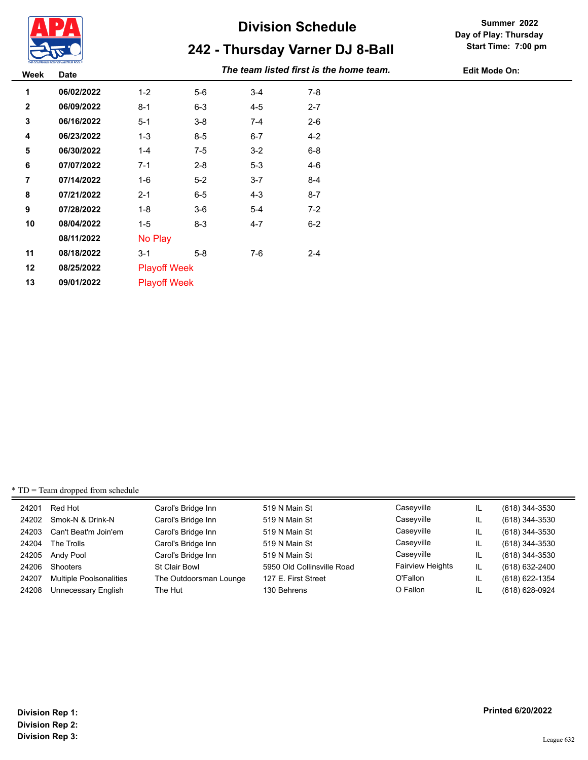

# **242 - Thursday Varner DJ 8-Ball**

**Summer 2022 Day of Play: Thursday Start Time: 7:00 pm**

**The team listed first is the home team. Edit Mode On: Date Date Date Date Date Date Date Date Date Date Date Date Date Date Date Date Date Date Date Date Date Date Date Da** 

| <b>VVCCN</b>   | Dalt       |                     |         |         |         |  |
|----------------|------------|---------------------|---------|---------|---------|--|
| 1              | 06/02/2022 | $1 - 2$             | $5-6$   | $3 - 4$ | $7-8$   |  |
| $\mathbf{2}$   | 06/09/2022 | $8 - 1$             | $6 - 3$ | $4 - 5$ | $2 - 7$ |  |
| 3              | 06/16/2022 | $5 - 1$             | $3-8$   | $7-4$   | $2-6$   |  |
| 4              | 06/23/2022 | $1 - 3$             | $8-5$   | $6-7$   | $4 - 2$ |  |
| 5              | 06/30/2022 | $1 - 4$             | $7-5$   | $3 - 2$ | $6-8$   |  |
| 6              | 07/07/2022 | $7-1$               | $2 - 8$ | $5 - 3$ | $4-6$   |  |
| $\overline{7}$ | 07/14/2022 | $1-6$               | $5-2$   | $3 - 7$ | $8 - 4$ |  |
| 8              | 07/21/2022 | $2 - 1$             | $6-5$   | $4 - 3$ | $8 - 7$ |  |
| 9              | 07/28/2022 | $1 - 8$             | $3-6$   | $5-4$   | $7-2$   |  |
| 10             | 08/04/2022 | $1-5$               | $8-3$   | 4-7     | $6-2$   |  |
|                | 08/11/2022 | No Play             |         |         |         |  |
| 11             | 08/18/2022 | $3 - 1$             | $5-8$   | 7-6     | $2 - 4$ |  |
| 12             | 08/25/2022 | <b>Playoff Week</b> |         |         |         |  |
| 13             | 09/01/2022 | <b>Playoff Week</b> |         |         |         |  |
|                |            |                     |         |         |         |  |

\* TD = Team dropped from schedule

| Caseyville<br>Carol's Bridge Inn<br>24202 Smok-N & Drink-N<br>519 N Main St<br>IL<br>(618) 344-3530<br>Caseyville<br>Carol's Bridge Inn<br>24203 Can't Beat'm Join'em<br>519 N Main St<br>IL<br>(618) 344-3530<br>Caseyville<br>Carol's Bridge Inn<br>519 N Main St<br>IL<br>The Trolls<br>(618) 344-3530<br>24204<br>Caseyville<br>Carol's Bridge Inn<br>519 N Main St<br>24205 Andy Pool<br>IL<br>(618) 344-3530<br><b>Fairview Heights</b><br>IL<br>St Clair Bowl<br>5950 Old Collinsville Road<br>Shooters<br>(618) 632-2400<br>O'Fallon<br>127 E. First Street<br><b>Multiple Poolsonalities</b><br>The Outdoorsman Lounge<br>IL<br>(618) 622-1354<br>O Fallon<br>Unnecessary English<br>130 Behrens<br>IL<br>(618) 628-0924<br>The Hut | 24201 | Red Hot | Carol's Bridge Inn | 519 N Main St | Caseyville | IL | (618) 344-3530 |
|----------------------------------------------------------------------------------------------------------------------------------------------------------------------------------------------------------------------------------------------------------------------------------------------------------------------------------------------------------------------------------------------------------------------------------------------------------------------------------------------------------------------------------------------------------------------------------------------------------------------------------------------------------------------------------------------------------------------------------------------|-------|---------|--------------------|---------------|------------|----|----------------|
|                                                                                                                                                                                                                                                                                                                                                                                                                                                                                                                                                                                                                                                                                                                                              |       |         |                    |               |            |    |                |
|                                                                                                                                                                                                                                                                                                                                                                                                                                                                                                                                                                                                                                                                                                                                              |       |         |                    |               |            |    |                |
|                                                                                                                                                                                                                                                                                                                                                                                                                                                                                                                                                                                                                                                                                                                                              |       |         |                    |               |            |    |                |
|                                                                                                                                                                                                                                                                                                                                                                                                                                                                                                                                                                                                                                                                                                                                              |       |         |                    |               |            |    |                |
|                                                                                                                                                                                                                                                                                                                                                                                                                                                                                                                                                                                                                                                                                                                                              | 24206 |         |                    |               |            |    |                |
|                                                                                                                                                                                                                                                                                                                                                                                                                                                                                                                                                                                                                                                                                                                                              | 24207 |         |                    |               |            |    |                |
|                                                                                                                                                                                                                                                                                                                                                                                                                                                                                                                                                                                                                                                                                                                                              | 24208 |         |                    |               |            |    |                |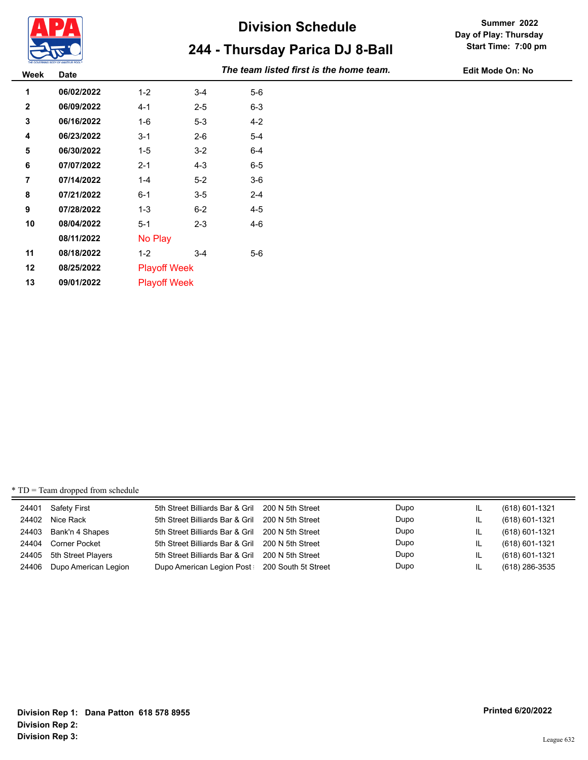

# **244 - Thursday Parica DJ 8-Ball**

**Summer 2022 Day of Play: Thursday Start Time: 7:00 pm**

*The team listed first is the home team.* **Week Date Edit Mode On: No**

| 1              | 06/02/2022 | $1 - 2$             | $3 - 4$ | $5-6$   |  |
|----------------|------------|---------------------|---------|---------|--|
| $\mathbf{2}$   | 06/09/2022 | $4 - 1$             | $2 - 5$ | $6-3$   |  |
| 3              | 06/16/2022 | $1-6$               | $5 - 3$ | $4 - 2$ |  |
| 4              | 06/23/2022 | $3 - 1$             | $2-6$   | $5 - 4$ |  |
| 5              | 06/30/2022 | 1-5                 | $3 - 2$ | $6-4$   |  |
| 6              | 07/07/2022 | $2 - 1$             | $4 - 3$ | $6-5$   |  |
| $\overline{7}$ | 07/14/2022 | $1 - 4$             | $5-2$   | $3-6$   |  |
| 8              | 07/21/2022 | $6 - 1$             | $3-5$   | $2 - 4$ |  |
| 9              | 07/28/2022 | $1 - 3$             | $6 - 2$ | $4 - 5$ |  |
| 10             | 08/04/2022 | $5 - 1$             | $2 - 3$ | $4-6$   |  |
|                | 08/11/2022 | No Play             |         |         |  |
| 11             | 08/18/2022 | $1-2$               | $3 - 4$ | $5-6$   |  |
| $12 \,$        | 08/25/2022 | <b>Playoff Week</b> |         |         |  |
| 13             | 09/01/2022 | <b>Playoff Week</b> |         |         |  |
|                |            |                     |         |         |  |

| 24401 Safety First         | 5th Street Billiards Bar & Gril 200 N 5th Street | Dupo | IL | (618) 601-1321 |
|----------------------------|--------------------------------------------------|------|----|----------------|
| 24402 Nice Rack            | 5th Street Billiards Bar & Gril 200 N 5th Street | Dupo | IL | (618) 601-1321 |
| 24403 Bank'n 4 Shapes      | 5th Street Billiards Bar & Gril 200 N 5th Street | Dupo | IL | (618) 601-1321 |
| 24404 Corner Pocket        | 5th Street Billiards Bar & Gril 200 N 5th Street | Dupo | IL | (618) 601-1321 |
| 24405 5th Street Players   | 5th Street Billiards Bar & Gril 200 N 5th Street | Dupo | IL | (618) 601-1321 |
| 24406 Dupo American Legion | Dupo American Legion Post: 200 South 5t Street   | Dupo | IL | (618) 286-3535 |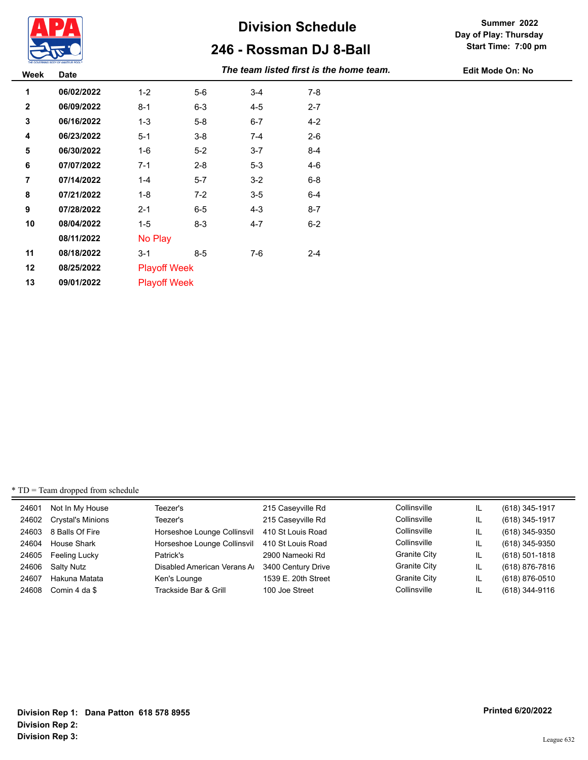

### **246 - Rossman DJ 8-Ball**

**Summer 2022 Day of Play: Thursday Start Time: 7:00 pm**

*The team listed first is the home team.* **Week Date Edit Mode On: No**

| ,,,,,,         | wuw        |                     |         |         |         |  |
|----------------|------------|---------------------|---------|---------|---------|--|
| 1              | 06/02/2022 | $1 - 2$             | $5-6$   | $3 - 4$ | $7-8$   |  |
| $\mathbf{2}$   | 06/09/2022 | $8 - 1$             | $6 - 3$ | $4 - 5$ | $2 - 7$ |  |
| 3              | 06/16/2022 | $1 - 3$             | $5-8$   | $6 - 7$ | $4 - 2$ |  |
| 4              | 06/23/2022 | $5 - 1$             | $3-8$   | $7-4$   | $2 - 6$ |  |
| 5              | 06/30/2022 | $1-6$               | $5-2$   | $3 - 7$ | $8 - 4$ |  |
| 6              | 07/07/2022 | $7 - 1$             | $2 - 8$ | $5 - 3$ | 4-6     |  |
| $\overline{7}$ | 07/14/2022 | $1 - 4$             | $5 - 7$ | $3 - 2$ | $6-8$   |  |
| 8              | 07/21/2022 | $1-8$               | $7-2$   | $3-5$   | $6-4$   |  |
| 9              | 07/28/2022 | $2 - 1$             | $6-5$   | $4 - 3$ | $8 - 7$ |  |
| 10             | 08/04/2022 | $1-5$               | $8-3$   | $4 - 7$ | $6-2$   |  |
|                | 08/11/2022 | No Play             |         |         |         |  |
| 11             | 08/18/2022 | $3 - 1$             | $8 - 5$ | 7-6     | $2 - 4$ |  |
| 12             | 08/25/2022 | <b>Playoff Week</b> |         |         |         |  |
| 13             | 09/01/2022 | <b>Playoff Week</b> |         |         |         |  |
|                |            |                     |         |         |         |  |

\* TD = Team dropped from schedule

| 24601 | Not In My House         | Teezer's                    | 215 Caseyville Rd   | Collinsville        | IL | (618) 345-1917 |
|-------|-------------------------|-----------------------------|---------------------|---------------------|----|----------------|
|       | 24602 Crystal's Minions | Teezer's                    | 215 Caseyville Rd   | Collinsville        | IL | (618) 345-1917 |
| 24603 | 8 Balls Of Fire         | Horseshoe Lounge Collinsvil | 410 St Louis Road   | Collinsville        | IL | (618) 345-9350 |
| 24604 | House Shark             | Horseshoe Lounge Collinsvil | 410 St Louis Road   | Collinsville        | IL | (618) 345-9350 |
| 24605 | Feeling Lucky           | Patrick's                   | 2900 Nameoki Rd     | <b>Granite City</b> | IL | (618) 501-1818 |
|       | 24606 Salty Nutz        | Disabled American Verans A  | 3400 Century Drive  | <b>Granite City</b> | IL | (618) 876-7816 |
| 24607 | Hakuna Matata           | Ken's Lounge                | 1539 E. 20th Street | <b>Granite City</b> | IL | (618) 876-0510 |
| 24608 | Comin 4 da \$           | Trackside Bar & Grill       | 100 Joe Street      | Collinsville        | IL | (618) 344-9116 |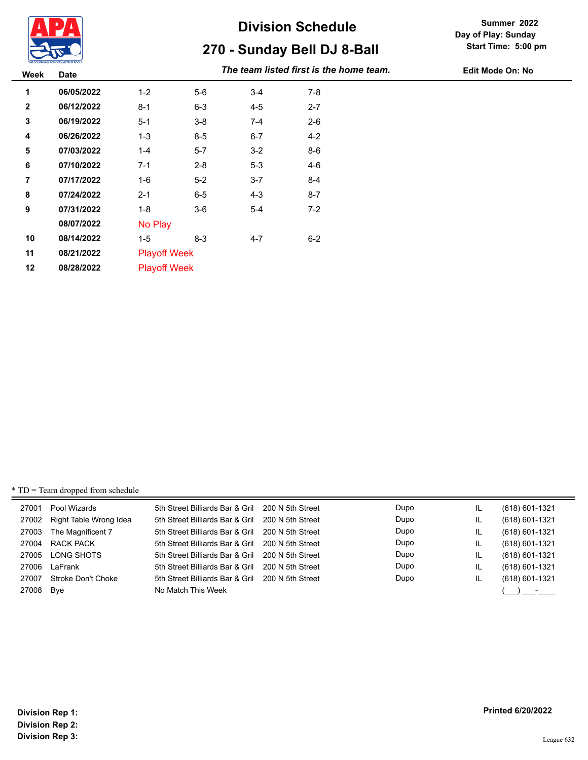

# **270 - Sunday Bell DJ 8-Ball Division Schedule**

*The team listed first is the home team.* **Week Date Edit Mode On: No**

| 110CM          | Dalc       |                     |         |         |         |  |
|----------------|------------|---------------------|---------|---------|---------|--|
| 1              | 06/05/2022 | $1 - 2$             | $5-6$   | $3 - 4$ | $7 - 8$ |  |
| $\mathbf{2}$   | 06/12/2022 | $8 - 1$             | $6-3$   | $4 - 5$ | $2 - 7$ |  |
| 3              | 06/19/2022 | $5 - 1$             | $3-8$   | $7 - 4$ | $2-6$   |  |
| 4              | 06/26/2022 | $1 - 3$             | $8-5$   | $6-7$   | $4 - 2$ |  |
| 5              | 07/03/2022 | $1 - 4$             | $5 - 7$ | $3 - 2$ | $8-6$   |  |
| 6              | 07/10/2022 | $7 - 1$             | $2 - 8$ | $5-3$   | $4-6$   |  |
| $\overline{7}$ | 07/17/2022 | $1 - 6$             | $5-2$   | $3 - 7$ | $8 - 4$ |  |
| 8              | 07/24/2022 | $2 - 1$             | $6-5$   | $4 - 3$ | $8 - 7$ |  |
| 9              | 07/31/2022 | $1 - 8$             | $3-6$   | $5 - 4$ | $7-2$   |  |
|                | 08/07/2022 | No Play             |         |         |         |  |
| 10             | 08/14/2022 | $1-5$               | $8 - 3$ | $4 - 7$ | $6 - 2$ |  |
| 11             | 08/21/2022 | <b>Playoff Week</b> |         |         |         |  |
| 12             | 08/28/2022 | <b>Playoff Week</b> |         |         |         |  |

### \* TD = Team dropped from schedule

|           | 27001 Pool Wizards           | 5th Street Billiards Bar & Gril 200 N 5th Street |                  | Dupo | IL | (618) 601-1321 |
|-----------|------------------------------|--------------------------------------------------|------------------|------|----|----------------|
|           | 27002 Right Table Wrong Idea | 5th Street Billiards Bar & Gril                  | 200 N 5th Street | Dupo | IL | (618) 601-1321 |
|           | 27003 The Magnificent 7      | 5th Street Billiards Bar & Gril 200 N 5th Street |                  | Dupo | IL | (618) 601-1321 |
|           | 27004 RACK PACK              | 5th Street Billiards Bar & Gril 200 N 5th Street |                  | Dupo | IL | (618) 601-1321 |
|           | 27005 LONG SHOTS             | 5th Street Billiards Bar & Gril 200 N 5th Street |                  | Dupo | IL | (618) 601-1321 |
| 27006     | LaFrank                      | 5th Street Billiards Bar & Gril 200 N 5th Street |                  | Dupo | IL | (618) 601-1321 |
| 27007     | Stroke Don't Choke           | 5th Street Billiards Bar & Gril                  | 200 N 5th Street | Dupo | IL | (618) 601-1321 |
| 27008 Bye |                              | No Match This Week                               |                  |      |    |                |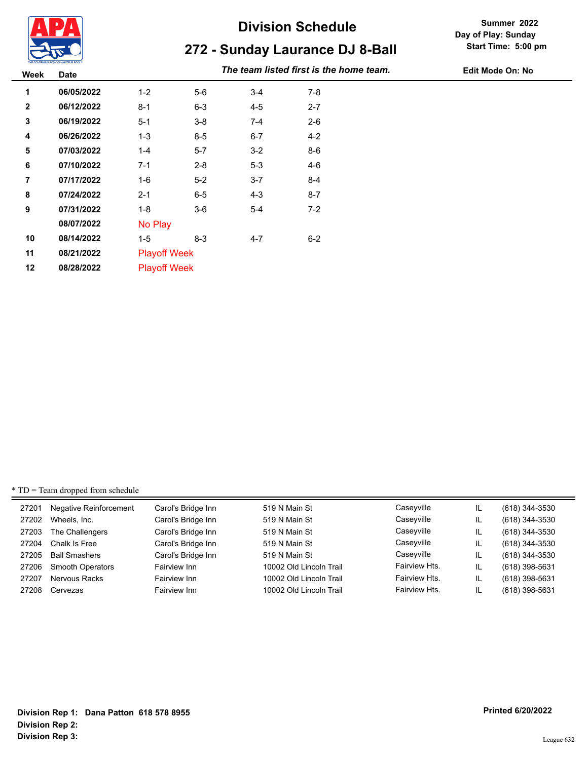

### **Summer 2022 Day of Play: Sunday Start Time: 5:00 pm**

**272 - Sunday Laurance DJ 8-Ball**

**The team listed first is the home team. Edit Mode On: No** 

| <b>vveen</b>   | Dale       |                     |         |         |         |  |
|----------------|------------|---------------------|---------|---------|---------|--|
| 1              | 06/05/2022 | $1 - 2$             | $5-6$   | $3 - 4$ | $7 - 8$ |  |
| $\mathbf{2}$   | 06/12/2022 | $8 - 1$             | $6-3$   | $4 - 5$ | $2 - 7$ |  |
| 3              | 06/19/2022 | $5 - 1$             | $3-8$   | $7 - 4$ | $2-6$   |  |
| 4              | 06/26/2022 | $1 - 3$             | $8-5$   | $6 - 7$ | $4 - 2$ |  |
| 5              | 07/03/2022 | $1 - 4$             | $5 - 7$ | $3 - 2$ | $8-6$   |  |
| 6              | 07/10/2022 | $7 - 1$             | $2 - 8$ | $5-3$   | $4-6$   |  |
| $\overline{7}$ | 07/17/2022 | $1 - 6$             | $5-2$   | $3 - 7$ | 8-4     |  |
| 8              | 07/24/2022 | $2 - 1$             | $6-5$   | $4 - 3$ | $8 - 7$ |  |
| 9              | 07/31/2022 | $1 - 8$             | $3-6$   | 5-4     | $7-2$   |  |
|                | 08/07/2022 | No Play             |         |         |         |  |
| 10             | 08/14/2022 | $1 - 5$             | $8 - 3$ | $4 - 7$ | $6 - 2$ |  |
| 11             | 08/21/2022 | <b>Playoff Week</b> |         |         |         |  |
| 12             | 08/28/2022 | <b>Playoff Week</b> |         |         |         |  |

### \* TD = Team dropped from schedule

| 27201 | <b>Negative Reinforcement</b> | Carol's Bridge Inn | 519 N Main St           | Caseyville    | IL | (618) 344-3530 |
|-------|-------------------------------|--------------------|-------------------------|---------------|----|----------------|
| 27202 | Wheels, Inc.                  | Carol's Bridge Inn | 519 N Main St           | Caseyville    | IL | (618) 344-3530 |
| 27203 | The Challengers               | Carol's Bridge Inn | 519 N Main St           | Caseyville    | IL | (618) 344-3530 |
| 27204 | Chalk Is Free                 | Carol's Bridge Inn | 519 N Main St           | Caseyville    | IL | (618) 344-3530 |
| 27205 | <b>Ball Smashers</b>          | Carol's Bridge Inn | 519 N Main St           | Caseyville    | IL | (618) 344-3530 |
| 27206 | <b>Smooth Operators</b>       | Fairview Inn       | 10002 Old Lincoln Trail | Fairview Hts. | IL | (618) 398-5631 |
| 27207 | Nervous Racks                 | Fairview Inn       | 10002 Old Lincoln Trail | Fairview Hts. | IL | (618) 398-5631 |
| 27208 | Cervezas                      | Fairview Inn       | 10002 Old Lincoln Trail | Fairview Hts. | IL | (618) 398-5631 |

**Division Rep 1: Dana Patton 618 578 8955 Division Rep 2: Division Rep 3:** 

### **Printed 6/20/2022**

League 632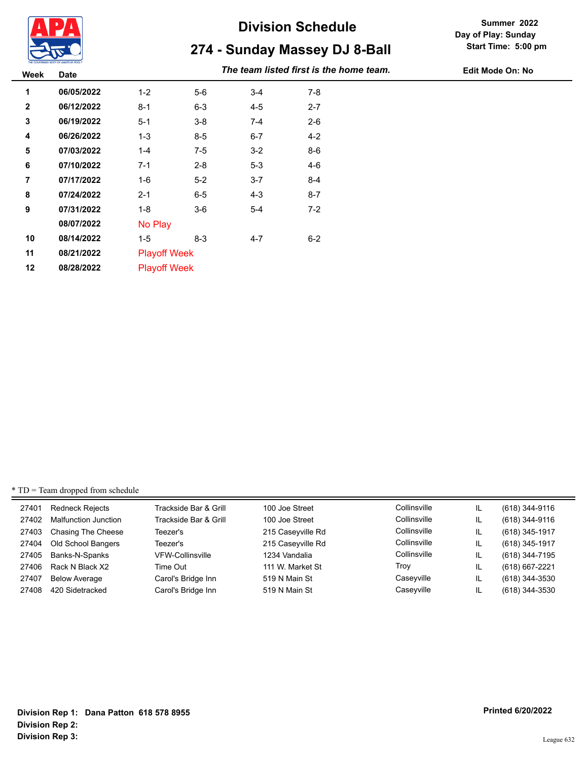

# **274 - Sunday Massey DJ 8-Ball**

**Summer 2022 Day of Play: Sunday Start Time: 5:00 pm**

**The team listed first is the home team. Edit Mode On: No** 

| <b>VVCCN</b>   | Dalt       |                     |         |         |         |  |
|----------------|------------|---------------------|---------|---------|---------|--|
| 1              | 06/05/2022 | $1 - 2$             | $5-6$   | 3-4     | $7 - 8$ |  |
| $\mathbf{2}$   | 06/12/2022 | $8 - 1$             | $6-3$   | 4-5     | $2 - 7$ |  |
| 3              | 06/19/2022 | $5 - 1$             | $3-8$   | $7-4$   | $2-6$   |  |
| 4              | 06/26/2022 | $1 - 3$             | $8-5$   | $6 - 7$ | $4 - 2$ |  |
| 5              | 07/03/2022 | $1 - 4$             | $7-5$   | $3 - 2$ | $8-6$   |  |
| 6              | 07/10/2022 | $7-1$               | $2 - 8$ | $5-3$   | $4-6$   |  |
| $\overline{7}$ | 07/17/2022 | $1 - 6$             | $5-2$   | $3 - 7$ | $8 - 4$ |  |
| 8              | 07/24/2022 | $2 - 1$             | $6-5$   | $4 - 3$ | $8 - 7$ |  |
| 9              | 07/31/2022 | $1 - 8$             | $3-6$   | $5 - 4$ | $7-2$   |  |
|                | 08/07/2022 | No Play             |         |         |         |  |
| 10             | 08/14/2022 | $1-5$               | $8-3$   | $4 - 7$ | $6 - 2$ |  |
| 11             | 08/21/2022 | <b>Playoff Week</b> |         |         |         |  |
| 12             | 08/28/2022 | <b>Playoff Week</b> |         |         |         |  |

### \* TD = Team dropped from schedule

| 27401 | <b>Redneck Rejects</b>      | Trackside Bar & Grill | 100 Joe Street    | Collinsville | IL | (618) 344-9116 |
|-------|-----------------------------|-----------------------|-------------------|--------------|----|----------------|
| 27402 | <b>Malfunction Junction</b> | Trackside Bar & Grill | 100 Joe Street    | Collinsville | IL | (618) 344-9116 |
| 27403 | Chasing The Cheese          | Teezer's              | 215 Caseyville Rd | Collinsville | IL | (618) 345-1917 |
| 27404 | Old School Bangers          | Teezer's              | 215 Caseyville Rd | Collinsville | IL | (618) 345-1917 |
| 27405 | Banks-N-Spanks              | VFW-Collinsville      | 1234 Vandalia     | Collinsville | IL | (618) 344-7195 |
| 27406 | Rack N Black X2             | Time Out              | 111 W. Market St  | Trov         | IL | (618) 667-2221 |
| 27407 | <b>Below Average</b>        | Carol's Bridge Inn    | 519 N Main St     | Caseyville   | IL | (618) 344-3530 |
| 27408 | 420 Sidetracked             | Carol's Bridge Inn    | 519 N Main St     | Caseyville   | IL | (618) 344-3530 |
|       |                             |                       |                   |              |    |                |